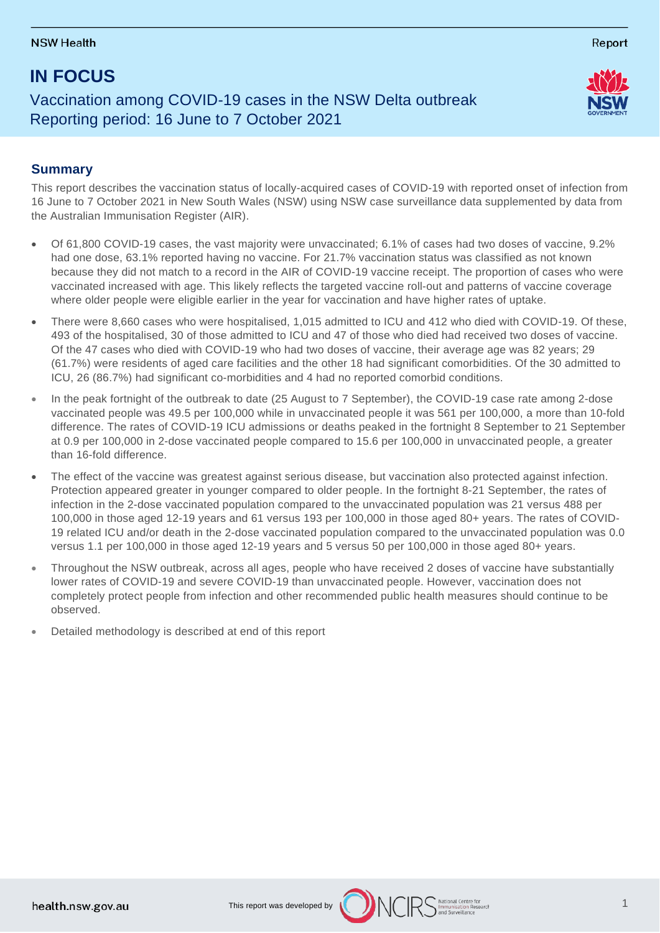# **IN FOCUS**

## Vaccination among COVID-19 cases in the NSW Delta outbreak Reporting period: 16 June to 7 October 2021

## **Summary**

This report describes the vaccination status of locally-acquired cases of COVID-19 with reported onset of infection from 16 June to 7 October 2021 in New South Wales (NSW) using NSW case surveillance data supplemented by data from the Australian Immunisation Register (AIR).

- Of 61,800 COVID-19 cases, the vast majority were unvaccinated; 6.1% of cases had two doses of vaccine, 9.2% had one dose, 63.1% reported having no vaccine. For 21.7% vaccination status was classified as not known because they did not match to a record in the AIR of COVID-19 vaccine receipt. The proportion of cases who were vaccinated increased with age. This likely reflects the targeted vaccine roll-out and patterns of vaccine coverage where older people were eligible earlier in the year for vaccination and have higher rates of uptake.
- There were 8,660 cases who were hospitalised, 1,015 admitted to ICU and 412 who died with COVID-19. Of these, 493 of the hospitalised, 30 of those admitted to ICU and 47 of those who died had received two doses of vaccine. Of the 47 cases who died with COVID-19 who had two doses of vaccine, their average age was 82 years; 29 (61.7%) were residents of aged care facilities and the other 18 had significant comorbidities. Of the 30 admitted to ICU, 26 (86.7%) had significant co-morbidities and 4 had no reported comorbid conditions.
- In the peak fortnight of the outbreak to date (25 August to 7 September), the COVID-19 case rate among 2-dose vaccinated people was 49.5 per 100,000 while in unvaccinated people it was 561 per 100,000, a more than 10-fold difference. The rates of COVID-19 ICU admissions or deaths peaked in the fortnight 8 September to 21 September at 0.9 per 100,000 in 2-dose vaccinated people compared to 15.6 per 100,000 in unvaccinated people, a greater than 16-fold difference.
- The effect of the vaccine was greatest against serious disease, but vaccination also protected against infection. Protection appeared greater in younger compared to older people. In the fortnight 8-21 September, the rates of infection in the 2-dose vaccinated population compared to the unvaccinated population was 21 versus 488 per 100,000 in those aged 12-19 years and 61 versus 193 per 100,000 in those aged 80+ years. The rates of COVID-19 related ICU and/or death in the 2-dose vaccinated population compared to the unvaccinated population was 0.0 versus 1.1 per 100,000 in those aged 12-19 years and 5 versus 50 per 100,000 in those aged 80+ years.
- Throughout the NSW outbreak, across all ages, people who have received 2 doses of vaccine have substantially lower rates of COVID-19 and severe COVID-19 than unvaccinated people. However, vaccination does not completely protect people from infection and other recommended public health measures should continue to be observed.
- Detailed methodology is described at end of this report





Report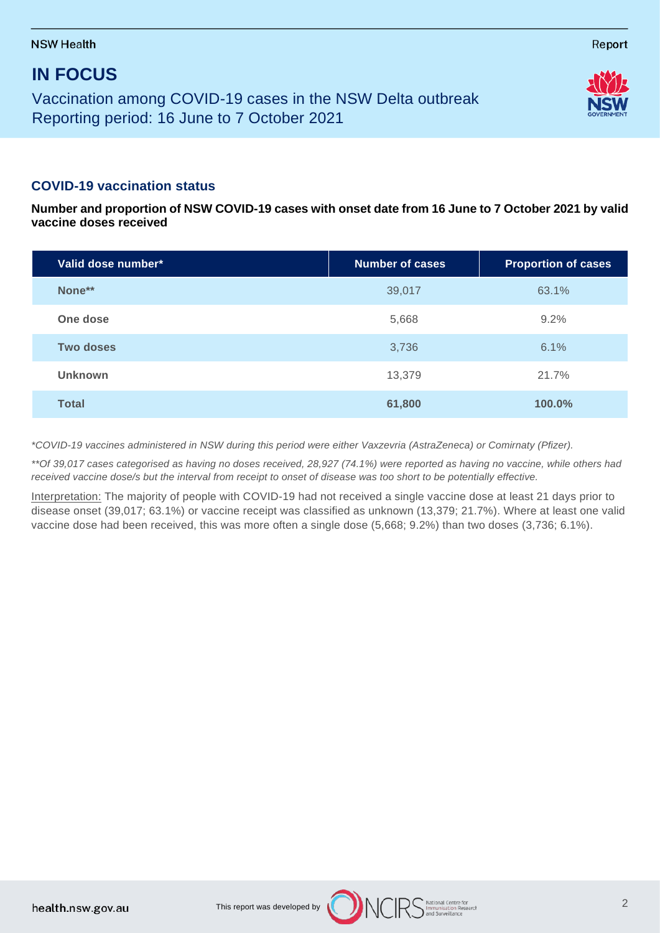# **IN FOCUS**

Vaccination among COVID-19 cases in the NSW Delta outbreak Reporting period: 16 June to 7 October 2021

## **COVID-19 vaccination status**

**Number and proportion of NSW COVID-19 cases with onset date from 16 June to 7 October 2021 by valid vaccine doses received**

| Valid dose number* | <b>Number of cases</b> | <b>Proportion of cases</b> |
|--------------------|------------------------|----------------------------|
| None**             | 39,017                 | 63.1%                      |
| One dose           | 5,668                  | 9.2%                       |
| Two doses          | 3,736                  | 6.1%                       |
| <b>Unknown</b>     | 13,379                 | 21.7%                      |
| <b>Total</b>       | 61,800                 | 100.0%                     |

*\*COVID-19 vaccines administered in NSW during this period were either Vaxzevria (AstraZeneca) or Comirnaty (Pfizer).*

*\*\*Of 39,017 cases categorised as having no doses received, 28,927 (74.1%) were reported as having no vaccine, while others had received vaccine dose/s but the interval from receipt to onset of disease was too short to be potentially effective.* 

Interpretation: The majority of people with COVID-19 had not received a single vaccine dose at least 21 days prior to disease onset (39,017; 63.1%) or vaccine receipt was classified as unknown (13,379; 21.7%). Where at least one valid vaccine dose had been received, this was more often a single dose (5,668; 9.2%) than two doses (3,736; 6.1%).



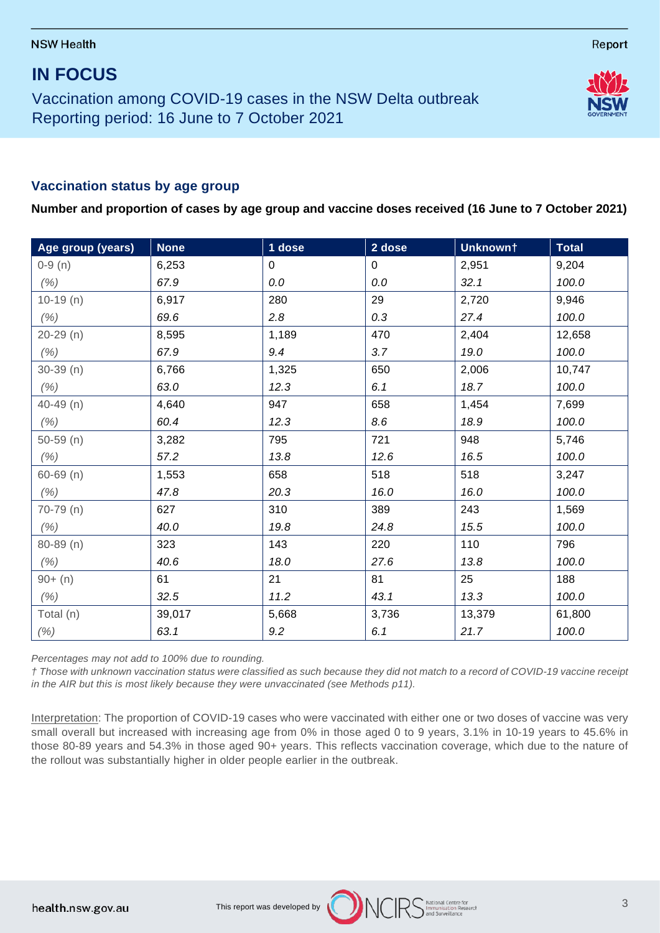## **IN FOCUS**

Vaccination among COVID-19 cases in the NSW Delta outbreak Reporting period: 16 June to 7 October 2021

## **Vaccination status by age group**

**Number and proportion of cases by age group and vaccine doses received (16 June to 7 October 2021)**

| Age group (years) | <b>None</b> | 1 dose | 2 dose | Unknown† | <b>Total</b> |
|-------------------|-------------|--------|--------|----------|--------------|
| $0-9(n)$          | 6,253       | 0      | 0      | 2,951    | 9,204        |
| (% )              | 67.9        | 0.0    | 0.0    | 32.1     | 100.0        |
| $10-19(n)$        | 6,917       | 280    | 29     | 2,720    | 9,946        |
| (% )              | 69.6        | 2.8    | 0.3    | 27.4     | 100.0        |
| $20-29(n)$        | 8,595       | 1,189  | 470    | 2,404    | 12,658       |
| (% )              | 67.9        | 9.4    | 3.7    | 19.0     | 100.0        |
| $30-39$ (n)       | 6,766       | 1,325  | 650    | 2,006    | 10,747       |
| (% )              | 63.0        | 12.3   | 6.1    | 18.7     | 100.0        |
| $40 - 49$ (n)     | 4,640       | 947    | 658    | 1,454    | 7,699        |
| (% )              | 60.4        | 12.3   | 8.6    | 18.9     | 100.0        |
| $50-59$ (n)       | 3,282       | 795    | 721    | 948      | 5,746        |
| (% )              | 57.2        | 13.8   | 12.6   | 16.5     | 100.0        |
| $60 - 69$ (n)     | 1,553       | 658    | 518    | 518      | 3,247        |
| (% )              | 47.8        | 20.3   | 16.0   | 16.0     | 100.0        |
| $70-79$ (n)       | 627         | 310    | 389    | 243      | 1,569        |
| (% )              | 40.0        | 19.8   | 24.8   | 15.5     | 100.0        |
| $80 - 89(n)$      | 323         | 143    | 220    | 110      | 796          |
| (% )              | 40.6        | 18.0   | 27.6   | 13.8     | 100.0        |
| $90+ (n)$         | 61          | 21     | 81     | 25       | 188          |
| (% )              | 32.5        | 11.2   | 43.1   | 13.3     | 100.0        |
| Total (n)         | 39,017      | 5,668  | 3,736  | 13,379   | 61,800       |
| $( \% )$          | 63.1        | 9.2    | 6.1    | 21.7     | 100.0        |

*Percentages may not add to 100% due to rounding.*

*† Those with unknown vaccination status were classified as such because they did not match to a record of COVID-19 vaccine receipt in the AIR but this is most likely because they were unvaccinated (see Methods p11).*

Interpretation: The proportion of COVID-19 cases who were vaccinated with either one or two doses of vaccine was very small overall but increased with increasing age from 0% in those aged 0 to 9 years, 3.1% in 10-19 years to 45.6% in those 80-89 years and 54.3% in those aged 90+ years. This reflects vaccination coverage, which due to the nature of the rollout was substantially higher in older people earlier in the outbreak.



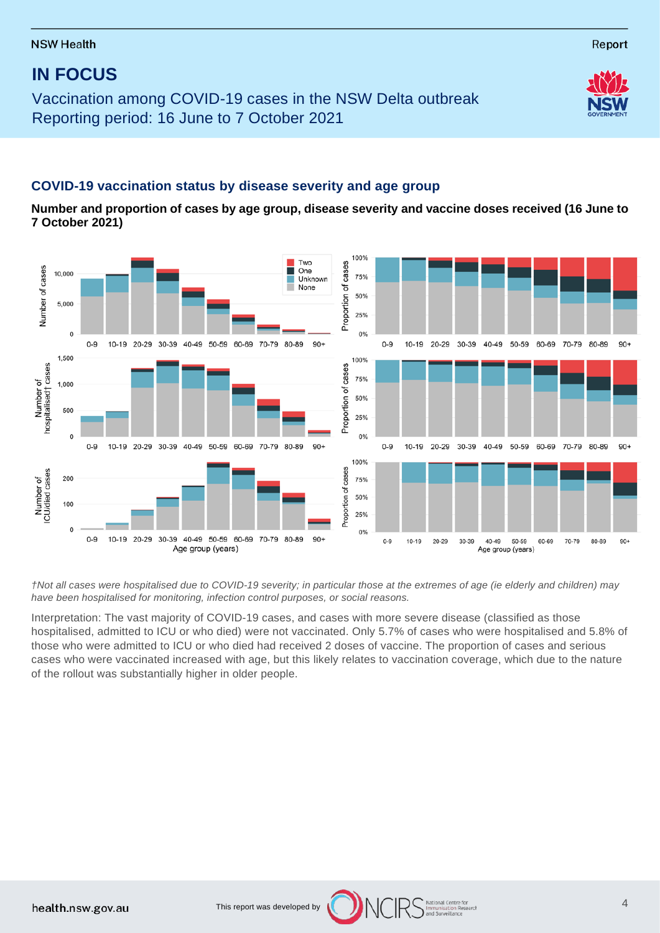Vaccination among COVID-19 cases in the NSW Delta outbreak Reporting period: 16 June to 7 October 2021

## **COVID-19 vaccination status by disease severity and age group**

**Number and proportion of cases by age group, disease severity and vaccine doses received (16 June to 7 October 2021)**



*†Not all cases were hospitalised due to COVID-19 severity; in particular those at the extremes of age (ie elderly and children) may have been hospitalised for monitoring, infection control purposes, or social reasons.*

Interpretation: The vast majority of COVID-19 cases, and cases with more severe disease (classified as those hospitalised, admitted to ICU or who died) were not vaccinated. Only 5.7% of cases who were hospitalised and 5.8% of those who were admitted to ICU or who died had received 2 doses of vaccine. The proportion of cases and serious cases who were vaccinated increased with age, but this likely relates to vaccination coverage, which due to the nature of the rollout was substantially higher in older people.

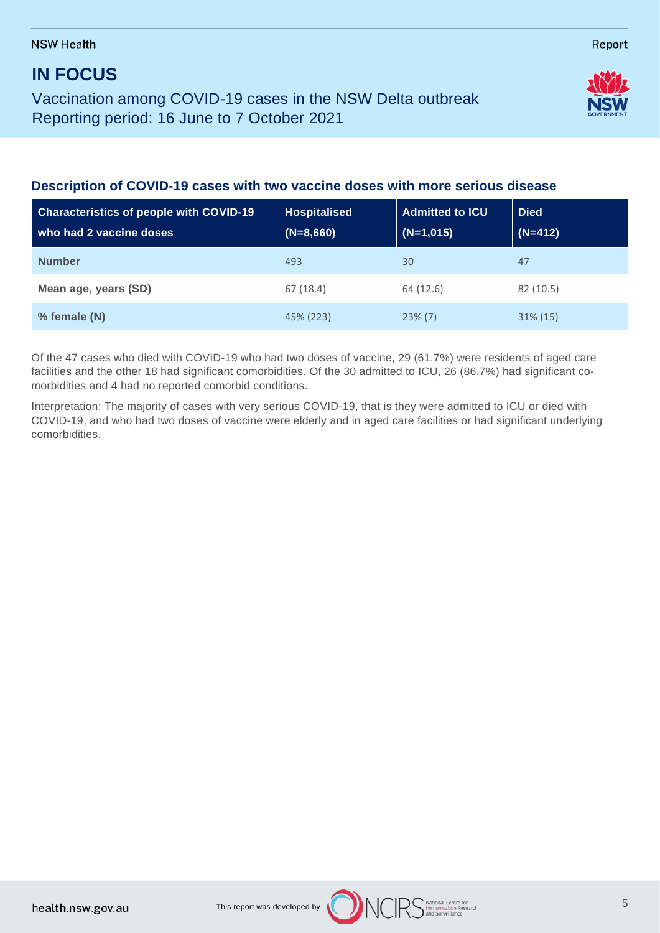## **IN FOCUS**

Vaccination among COVID-19 cases in the NSW Delta outbreak Reporting period: 16 June to 7 October 2021



| <b>Characteristics of people with COVID-19</b><br>who had 2 vaccine doses | <b>Hospitalised</b><br>$(N=8,660)$ | <b>Admitted to ICU</b><br>$(N=1,015)$ | <b>Died</b><br>$(N=412)$ |
|---------------------------------------------------------------------------|------------------------------------|---------------------------------------|--------------------------|
| <b>Number</b>                                                             | 493                                | 30                                    | 47                       |
| Mean age, years (SD)                                                      | 67(18.4)                           | 64 (12.6)                             | 82 (10.5)                |
| % female (N)                                                              | 45% (223)                          | $23\%$ (7)                            | $31\% (15)$              |

Of the 47 cases who died with COVID-19 who had two doses of vaccine, 29 (61.7%) were residents of aged care facilities and the other 18 had significant comorbidities. Of the 30 admitted to ICU, 26 (86.7%) had significant comorbidities and 4 had no reported comorbid conditions.

Interpretation: The majority of cases with very serious COVID-19, that is they were admitted to ICU or died with COVID-19, and who had two doses of vaccine were elderly and in aged care facilities or had significant underlying comorbidities.

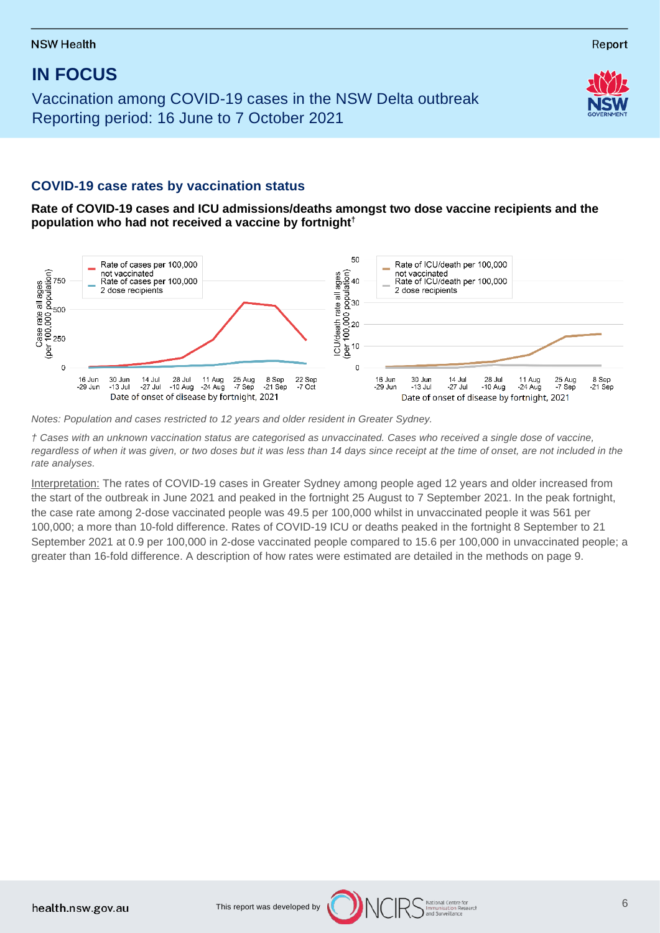Vaccination among COVID-19 cases in the NSW Delta outbreak Reporting period: 16 June to 7 October 2021

## **COVID-19 case rates by vaccination status**

**Rate of COVID-19 cases and ICU admissions/deaths amongst two dose vaccine recipients and the population who had not received a vaccine by fortnight†**



*Notes: Population and cases restricted to 12 years and older resident in Greater Sydney.* 

*† Cases with an unknown vaccination status are categorised as unvaccinated. Cases who received a single dose of vaccine,*  regardless of when it was given, or two doses but it was less than 14 days since receipt at the time of onset, are not included in the *rate analyses.* 

Interpretation: The rates of COVID-19 cases in Greater Sydney among people aged 12 years and older increased from the start of the outbreak in June 2021 and peaked in the fortnight 25 August to 7 September 2021. In the peak fortnight, the case rate among 2-dose vaccinated people was 49.5 per 100,000 whilst in unvaccinated people it was 561 per 100,000; a more than 10-fold difference. Rates of COVID-19 ICU or deaths peaked in the fortnight 8 September to 21 September 2021 at 0.9 per 100,000 in 2-dose vaccinated people compared to 15.6 per 100,000 in unvaccinated people; a greater than 16-fold difference. A description of how rates were estimated are detailed in the methods on page 9.

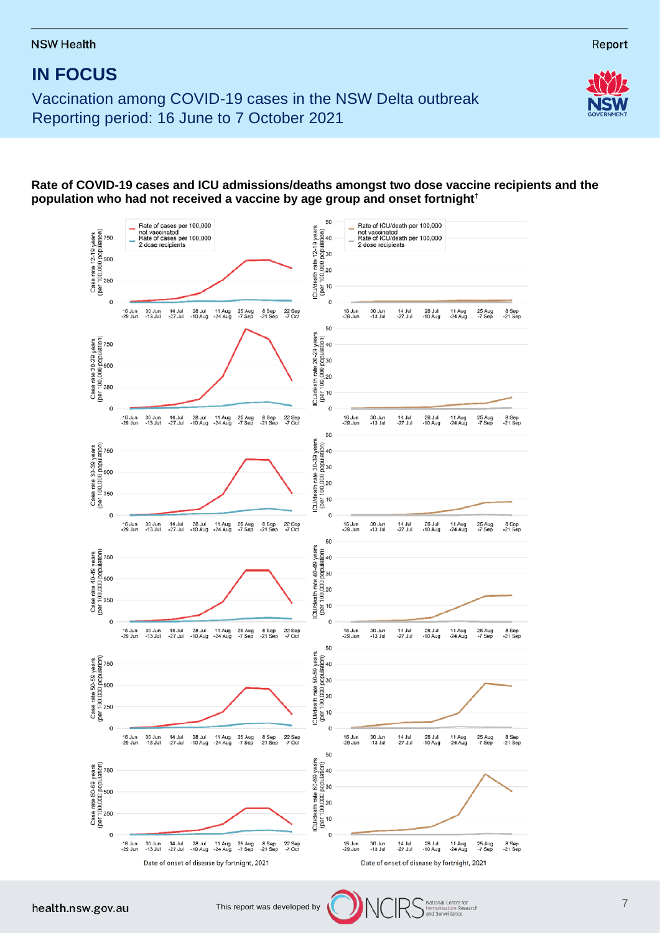Vaccination among COVID-19 cases in the NSW Delta outbreak Reporting period: 16 June to 7 October 2021



### **Rate of COVID-19 cases and ICU admissions/deaths amongst two dose vaccine recipients and the population who had not received a vaccine by age group and onset fortnight†**

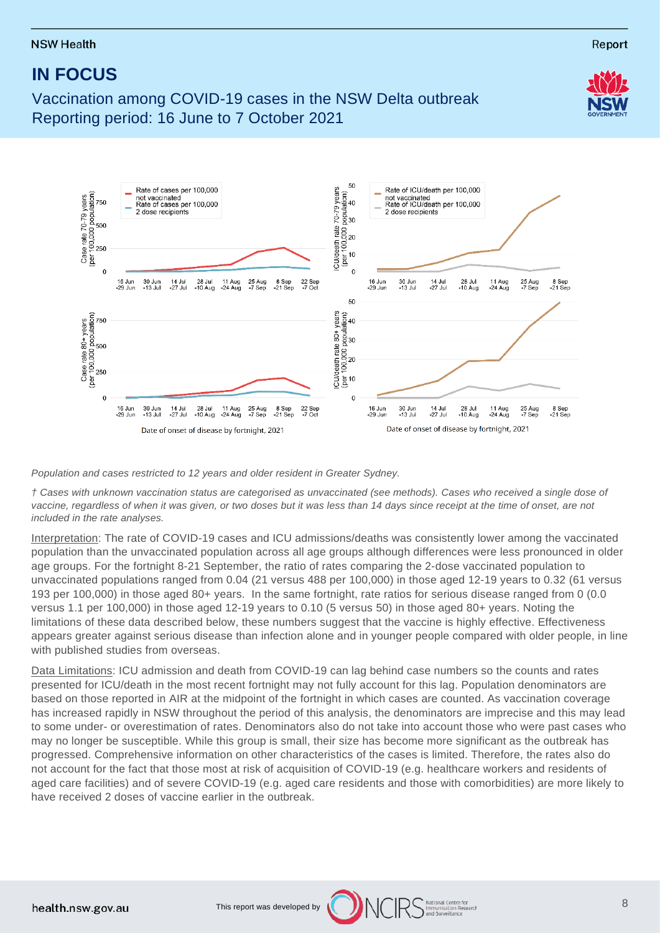# **IN FOCUS**

Vaccination among COVID-19 cases in the NSW Delta outbreak Reporting period: 16 June to 7 October 2021



*Population and cases restricted to 12 years and older resident in Greater Sydney.* 

*† Cases with unknown vaccination status are categorised as unvaccinated (see methods). Cases who received a single dose of vaccine, regardless of when it was given, or two doses but it was less than 14 days since receipt at the time of onset, are not included in the rate analyses.* 

Interpretation: The rate of COVID-19 cases and ICU admissions/deaths was consistently lower among the vaccinated population than the unvaccinated population across all age groups although differences were less pronounced in older age groups. For the fortnight 8-21 September, the ratio of rates comparing the 2-dose vaccinated population to unvaccinated populations ranged from 0.04 (21 versus 488 per 100,000) in those aged 12-19 years to 0.32 (61 versus 193 per 100,000) in those aged 80+ years. In the same fortnight, rate ratios for serious disease ranged from 0 (0.0 versus 1.1 per 100,000) in those aged 12-19 years to 0.10 (5 versus 50) in those aged 80+ years. Noting the limitations of these data described below, these numbers suggest that the vaccine is highly effective. Effectiveness appears greater against serious disease than infection alone and in younger people compared with older people, in line with published studies from overseas.

Data Limitations: ICU admission and death from COVID-19 can lag behind case numbers so the counts and rates presented for ICU/death in the most recent fortnight may not fully account for this lag. Population denominators are based on those reported in AIR at the midpoint of the fortnight in which cases are counted. As vaccination coverage has increased rapidly in NSW throughout the period of this analysis, the denominators are imprecise and this may lead to some under- or overestimation of rates. Denominators also do not take into account those who were past cases who may no longer be susceptible. While this group is small, their size has become more significant as the outbreak has progressed. Comprehensive information on other characteristics of the cases is limited. Therefore, the rates also do not account for the fact that those most at risk of acquisition of COVID-19 (e.g. healthcare workers and residents of aged care facilities) and of severe COVID-19 (e.g. aged care residents and those with comorbidities) are more likely to have received 2 doses of vaccine earlier in the outbreak.





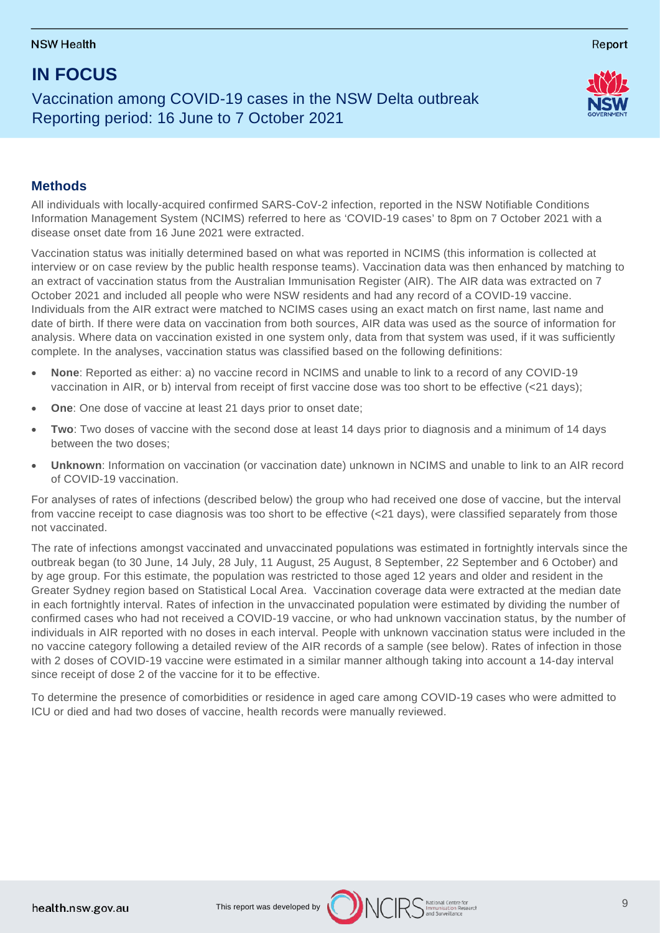## **IN FOCUS**

Vaccination among COVID-19 cases in the NSW Delta outbreak Reporting period: 16 June to 7 October 2021



Report

### **Methods**

All individuals with locally-acquired confirmed SARS-CoV-2 infection, reported in the NSW Notifiable Conditions Information Management System (NCIMS) referred to here as 'COVID-19 cases' to 8pm on 7 October 2021 with a disease onset date from 16 June 2021 were extracted.

Vaccination status was initially determined based on what was reported in NCIMS (this information is collected at interview or on case review by the public health response teams). Vaccination data was then enhanced by matching to an extract of vaccination status from the Australian Immunisation Register (AIR). The AIR data was extracted on 7 October 2021 and included all people who were NSW residents and had any record of a COVID-19 vaccine. Individuals from the AIR extract were matched to NCIMS cases using an exact match on first name, last name and date of birth. If there were data on vaccination from both sources, AIR data was used as the source of information for analysis. Where data on vaccination existed in one system only, data from that system was used, if it was sufficiently complete. In the analyses, vaccination status was classified based on the following definitions:

- **None**: Reported as either: a) no vaccine record in NCIMS and unable to link to a record of any COVID-19 vaccination in AIR, or b) interval from receipt of first vaccine dose was too short to be effective (<21 days);
- **One**: One dose of vaccine at least 21 days prior to onset date;
- **Two**: Two doses of vaccine with the second dose at least 14 days prior to diagnosis and a minimum of 14 days between the two doses;
- **Unknown**: Information on vaccination (or vaccination date) unknown in NCIMS and unable to link to an AIR record of COVID-19 vaccination.

For analyses of rates of infections (described below) the group who had received one dose of vaccine, but the interval from vaccine receipt to case diagnosis was too short to be effective (<21 days), were classified separately from those not vaccinated.

The rate of infections amongst vaccinated and unvaccinated populations was estimated in fortnightly intervals since the outbreak began (to 30 June, 14 July, 28 July, 11 August, 25 August, 8 September, 22 September and 6 October) and by age group. For this estimate, the population was restricted to those aged 12 years and older and resident in the Greater Sydney region based on Statistical Local Area. Vaccination coverage data were extracted at the median date in each fortnightly interval. Rates of infection in the unvaccinated population were estimated by dividing the number of confirmed cases who had not received a COVID-19 vaccine, or who had unknown vaccination status, by the number of individuals in AIR reported with no doses in each interval. People with unknown vaccination status were included in the no vaccine category following a detailed review of the AIR records of a sample (see below). Rates of infection in those with 2 doses of COVID-19 vaccine were estimated in a similar manner although taking into account a 14-day interval since receipt of dose 2 of the vaccine for it to be effective.

To determine the presence of comorbidities or residence in aged care among COVID-19 cases who were admitted to ICU or died and had two doses of vaccine, health records were manually reviewed.

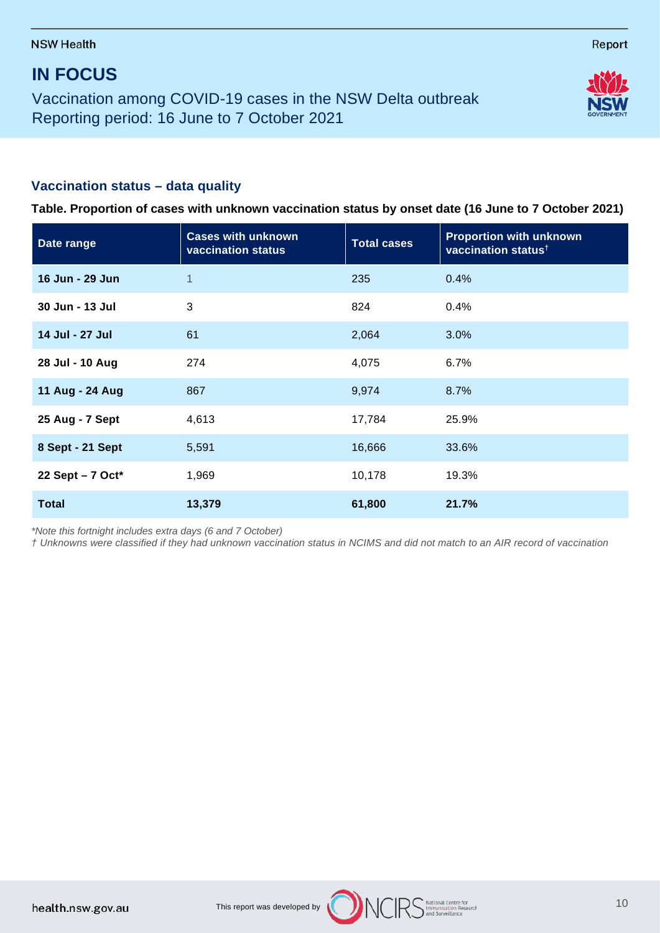## **IN FOCUS**

Vaccination among COVID-19 cases in the NSW Delta outbreak Reporting period: 16 June to 7 October 2021

## **Vaccination status – data quality**

**Date range Cases with unknown vaccination status Total cases Proportion with unknown vaccination status† 16 Jun - 29 Jun** 1 235 0.4% **30 Jun - 13 Jul** 3 824 0.4% **14 Jul - 27 Jul** 61 2,064 3.0% **28 Jul - 10 Aug** 274 4,075 6.7% **11 Aug - 24 Aug** 867 8.7% **25 Aug - 7 Sept** 4,613 17,784 25.9% **8 Sept - 21 Sept** 16,591 16,666 33.6% **22 Sept – 7 Oct\*** 1,969 10,178 19.3% **Total 13,379 61,800 21.7%**

**Table. Proportion of cases with unknown vaccination status by onset date (16 June to 7 October 2021)**

*\*Note this fortnight includes extra days (6 and 7 October)*

*† Unknowns were classified if they had unknown vaccination status in NCIMS and did not match to an AIR record of vaccination*